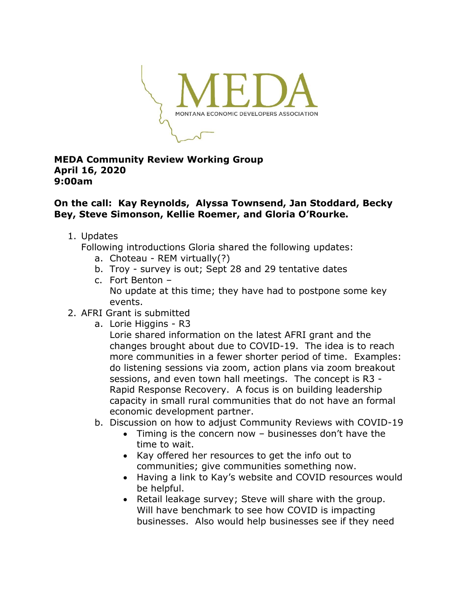

## **MEDA Community Review Working Group April 16, 2020 9:00am**

## **On the call: Kay Reynolds, Alyssa Townsend, Jan Stoddard, Becky Bey, Steve Simonson, Kellie Roemer, and Gloria O'Rourke.**

1. Updates

Following introductions Gloria shared the following updates:

- a. Choteau REM virtually(?)
- b. Troy survey is out; Sept 28 and 29 tentative dates
- c. Fort Benton No update at this time; they have had to postpone some key events.
- 2. AFRI Grant is submitted
	- a. Lorie Higgins R3
		- Lorie shared information on the latest AFRI grant and the changes brought about due to COVID-19. The idea is to reach more communities in a fewer shorter period of time. Examples: do listening sessions via zoom, action plans via zoom breakout sessions, and even town hall meetings. The concept is R3 - Rapid Response Recovery. A focus is on building leadership capacity in small rural communities that do not have an formal economic development partner.
	- b. Discussion on how to adjust Community Reviews with COVID-19
		- Timing is the concern now businesses don't have the time to wait.
		- Kay offered her resources to get the info out to communities; give communities something now.
		- Having a link to Kay's website and COVID resources would be helpful.
		- Retail leakage survey; Steve will share with the group. Will have benchmark to see how COVID is impacting businesses. Also would help businesses see if they need